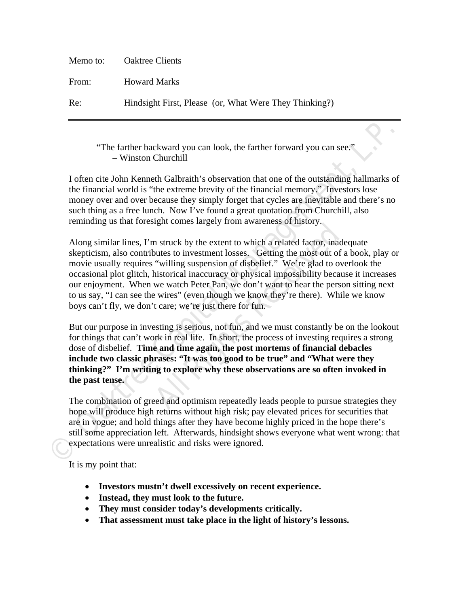| Memo to: | <b>Oaktree Clients</b>                                 |
|----------|--------------------------------------------------------|
| From:    | <b>Howard Marks</b>                                    |
| Re:      | Hindsight First, Please (or, What Were They Thinking?) |

# "The farther backward you can look, the farther forward you can see." – Winston Churchill

I often cite John Kenneth Galbraith's observation that one of the outstanding hallmarks of the financial world is "the extreme brevity of the financial memory." Investors lose money over and over because they simply forget that cycles are inevitable and there's no such thing as a free lunch. Now I've found a great quotation from Churchill, also reminding us that foresight comes largely from awareness of history.

**Find the manula Constrained Solution** The combination of the system of the controlline of the controlline of the outstanding hallmarks of the financial word is "the extreme brevity of the financial memory." Investors lose right comes largery non awareness of misory.<br>
In struck by the extent to which a related factor, inade<br>
outes to investment losses. Getting the most out of a<br>
"willing suspension of disbelief." We're glad to over<br>
historic Along similar lines, I'm struck by the extent to which a related factor, inadequate skepticism, also contributes to investment losses. Getting the most out of a book, play or movie usually requires "willing suspension of disbelief." We're glad to overlook the occasional plot glitch, historical inaccuracy or physical impossibility because it increases our enjoyment. When we watch Peter Pan, we don't want to hear the person sitting next to us say, "I can see the wires" (even though we know they're there). While we know boys can't fly, we don't care; we're just there for fun.

But our purpose in investing is serious, not fun, and we must constantly be on the lookout for things that can't work in real life. In short, the process of investing requires a strong dose of disbelief. **Time and time again, the post mortems of financial debacles include two classic phrases: "It was too good to be true" and "What were they thinking?" I'm writing to explore why these observations are so often invoked in the past tense.**

The combination of greed and optimism repeatedly leads people to pursue strategies they hope will produce high returns without high risk; pay elevated prices for securities that are in vogue; and hold things after they have become highly priced in the hope there's still some appreciation left. Afterwards, hindsight shows everyone what went wrong: that expectations were unrealistic and risks were ignored.

It is my point that:

- **Investors mustn't dwell excessively on recent experience.**
- **Instead, they must look to the future.**
- **They must consider today's developments critically.**
- **That assessment must take place in the light of history's lessons.**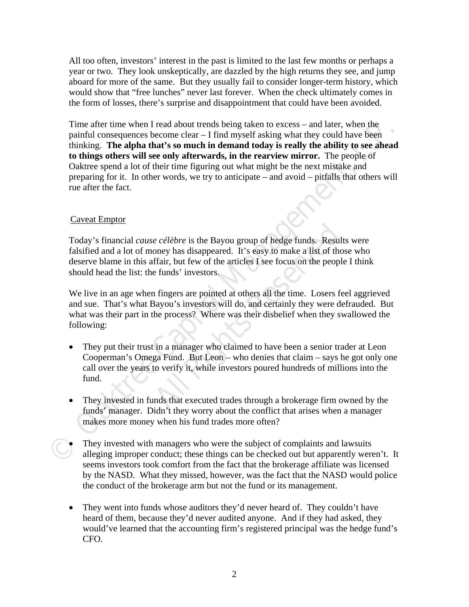All too often, investors' interest in the past is limited to the last few months or perhaps a year or two. They look unskeptically, are dazzled by the high returns they see, and jump aboard for more of the same. But they usually fail to consider longer-term history, which would show that "free lunches" never last forever. When the check ultimately comes in the form of losses, there's surprise and disappointment that could have been avoided.

Time infert inne when I Fread about trends being taken to excess — and tater, when the constrained to compare clear  $-$  I find myself asking what they could have been<br>phinking. The alpha that's so much in demand today is Time after time when I read about trends being taken to excess – and later, when the painful consequences become clear – I find myself asking what they could have been thinking. **The alpha that's so much in demand today is really the ability to see ahead to things others will see only afterwards, in the rearview mirror.** The people of Oaktree spend a lot of their time figuring out what might be the next mistake and preparing for it. In other words, we try to anticipate – and avoid – pitfalls that others will rue after the fact.

# Caveat Emptor

*e célèbre* is the Bayou group of hedge funds. Result<br>oney has disappeared. It's easy to make a list of thos<br>ffair, but few of the articles I see focus on the people<br>e funds' investors.<br>1 fingers are pointed at others all Today's financial *cause célèbre* is the Bayou group of hedge funds. Results were falsified and a lot of money has disappeared. It's easy to make a list of those who deserve blame in this affair, but few of the articles I see focus on the people I think should head the list: the funds' investors.

We live in an age when fingers are pointed at others all the time. Losers feel aggrieved and sue. That's what Bayou's investors will do, and certainly they were defrauded. But what was their part in the process? Where was their disbelief when they swallowed the following:

- They put their trust in a manager who claimed to have been a senior trader at Leon Cooperman's Omega Fund. But Leon – who denies that claim – says he got only one call over the years to verify it, while investors poured hundreds of millions into the fund.
- They invested in funds that executed trades through a brokerage firm owned by the funds' manager. Didn't they worry about the conflict that arises when a manager makes more money when his fund trades more often?
- They invested with managers who were the subject of complaints and lawsuits alleging improper conduct; these things can be checked out but apparently weren't. It seems investors took comfort from the fact that the brokerage affiliate was licensed by the NASD. What they missed, however, was the fact that the NASD would police the conduct of the brokerage arm but not the fund or its management.
- They went into funds whose auditors they'd never heard of. They couldn't have heard of them, because they'd never audited anyone. And if they had asked, they would've learned that the accounting firm's registered principal was the hedge fund's CFO.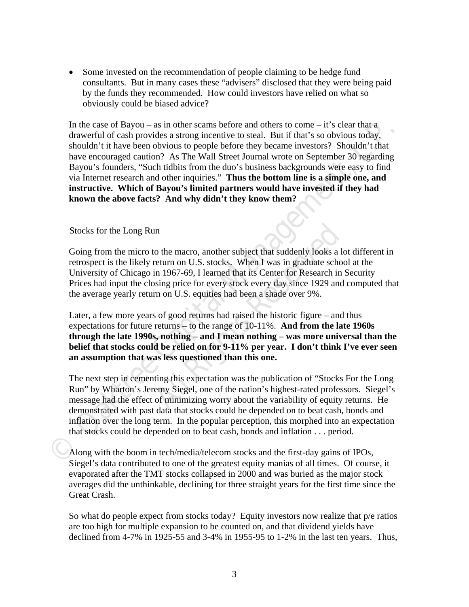• Some invested on the recommendation of people claiming to be hedge fund consultants. But in many cases these "advisers" disclosed that they were being paid by the funds they recommended. How could investors have relied on what so obviously could be biased advice?

In the case of Bayou – as in other scans before and others to come – it's clear that a<br>
drawerful of cash provides a strong incentive to steal. But if that's so obvious today,<br>
shouldn't it have been obvious to people bef In the case of Bayou – as in other scams before and others to come – it's clear that a drawerful of cash provides a strong incentive to steal. But if that's so obvious today, shouldn't it have been obvious to people before they became investors? Shouldn't that have encouraged caution? As The Wall Street Journal wrote on September 30 regarding Bayou's founders, "Such tidbits from the duo's business backgrounds were easy to find via Internet research and other inquiries." **Thus the bottom line is a simple one, and instructive. Which of Bayou's limited partners would have invested if they had known the above facts? And why didn't they know them?** 

## Stocks for the Long Run

**All Rights Constant Constant Constant Constant Constant Constant Constant Constant Constant I 967-69, I learned that its Center for Research in 1967-69, I learned that its Center for Research in Sising price for every sto** Going from the micro to the macro, another subject that suddenly looks a lot different in retrospect is the likely return on U.S. stocks. When I was in graduate school at the University of Chicago in 1967-69, I learned that its Center for Research in Security Prices had input the closing price for every stock every day since 1929 and computed that the average yearly return on U.S. equities had been a shade over 9%.

Later, a few more years of good returns had raised the historic figure – and thus expectations for future returns – to the range of 10-11%. **And from the late 1960s through the late 1990s, nothing – and I mean nothing – was more universal than the belief that stocks could be relied on for 9-11% per year. I don't think I've ever seen an assumption that was less questioned than this one.**

The next step in cementing this expectation was the publication of "Stocks For the Long Run" by Wharton's Jeremy Siegel, one of the nation's highest-rated professors. Siegel's message had the effect of minimizing worry about the variability of equity returns. He demonstrated with past data that stocks could be depended on to beat cash, bonds and inflation over the long term. In the popular perception, this morphed into an expectation that stocks could be depended on to beat cash, bonds and inflation . . . period.

Along with the boom in tech/media/telecom stocks and the first-day gains of IPOs, Siegel's data contributed to one of the greatest equity manias of all times. Of course, it evaporated after the TMT stocks collapsed in 2000 and was buried as the major stock averages did the unthinkable, declining for three straight years for the first time since the Great Crash.

So what do people expect from stocks today? Equity investors now realize that p/e ratios are too high for multiple expansion to be counted on, and that dividend yields have declined from 4-7% in 1925-55 and 3-4% in 1955-95 to 1-2% in the last ten years. Thus,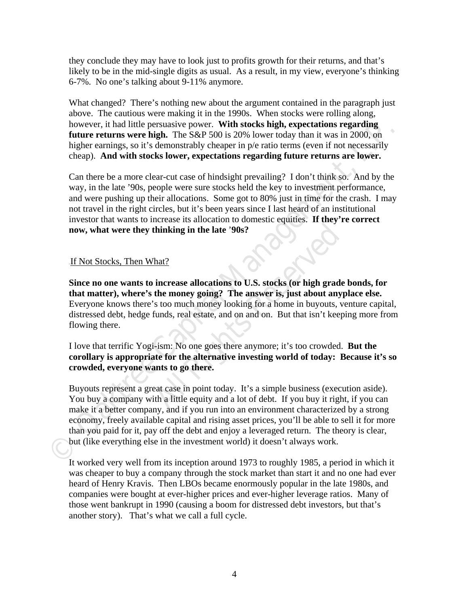they conclude they may have to look just to profits growth for their returns, and that's likely to be in the mid-single digits as usual. As a result, in my view, everyone's thinking 6-7%. No one's talking about 9-11% anymore.

What changed? There's nothing new about the argument contained in the paragraph just above. The cautious were making it in the 1990s. When stocks were rolling along, however, it had little persuasive power. **With stocks high, expectations regarding future returns were high.** The S&P 500 is 20% lower today than it was in 2000, on higher earnings, so it's demonstrably cheaper in  $p/e$  ratio terms (even if not necessarily cheap). **And with stocks lower, expectations regarding future returns are lower.** 

Can there be a more clear-cut case of hindsight prevailing? I don't think so. And by the way, in the late '90s, people were sure stocks held the key to investment performance, and were pushing up their allocations. Some got to 80% just in time for the crash. I may not travel in the right circles, but it's been years since I last heard of an institutional investor that wants to increase its allocation to domestic equities. **If they're correct now, what were they thinking in the late** '**90s?** 

## If Not Stocks, Then What?

**Alterivally in the late '90s?**<br> **Alterivally in the late '90s?**<br> **Alterivally in the late '90s?**<br> **Alterivally is to much money looking for a home in buyouts, vectors funds, real estate, and on and on. But that isn't keep Since no one wants to increase allocations to U.S. stocks (or high grade bonds, for that matter), where's the money going? The answer is, just about anyplace else.** Everyone knows there's too much money looking for a home in buyouts, venture capital, distressed debt, hedge funds, real estate, and on and on. But that isn't keeping more from flowing there.

I love that terrific Yogi-ism: No one goes there anymore; it's too crowded. **But the corollary is appropriate for the alternative investing world of today: Because it's so crowded, everyone wants to go there.** 

**Nowever.** it had little persuasive power. With stocks high, expectations regarding<br>future returns were high. The S&P 500 is 20% lower today than it was in 2000, on<br>higher earnings, so it's demonstrably cheaper in pé ratio Buyouts represent a great case in point today. It's a simple business (execution aside). You buy a company with a little equity and a lot of debt. If you buy it right, if you can make it a better company, and if you run into an environment characterized by a strong economy, freely available capital and rising asset prices, you'll be able to sell it for more than you paid for it, pay off the debt and enjoy a leveraged return. The theory is clear, but (like everything else in the investment world) it doesn't always work.

It worked very well from its inception around 1973 to roughly 1985, a period in which it was cheaper to buy a company through the stock market than start it and no one had ever heard of Henry Kravis. Then LBOs became enormously popular in the late 1980s, and companies were bought at ever-higher prices and ever-higher leverage ratios. Many of those went bankrupt in 1990 (causing a boom for distressed debt investors, but that's another story). That's what we call a full cycle.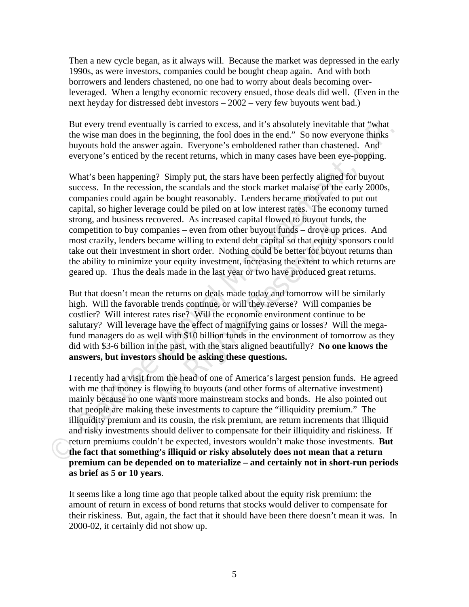Then a new cycle began, as it always will. Because the market was depressed in the early 1990s, as were investors, companies could be bought cheap again. And with both borrowers and lenders chastened, no one had to worry about deals becoming overleveraged. When a lengthy economic recovery ensued, those deals did well. (Even in the next heyday for distressed debt investors – 2002 – very few buyouts went bad.)

But every trend eventually is carried to excess, and it's absolutely inevitable that "what the wise man does in the beginning, the fool does in the end." So now everyone thinks buyouts hold the answer again. Everyone's emboldened rather than chastened. And everyone's enticed by the recent returns, which in many cases have been eye-popping.

But every trend eventually is carried to excess, and it's absolutely inevirable that "what<br>the wise man does in the beginning, the food does in the end." So now everyone fininks<br>hyouts hold the answer again. Everyone's emb What's been happening? Simply put, the stars have been perfectly aligned for buyout success. In the recession, the scandals and the stock market malaise of the early 2000s, companies could again be bought reasonably. Lenders became motivated to put out capital, so higher leverage could be piled on at low interest rates. The economy turned strong, and business recovered. As increased capital flowed to buyout funds, the competition to buy companies – even from other buyout funds – drove up prices. And most crazily, lenders became willing to extend debt capital so that equity sponsors could take out their investment in short order. Nothing could be better for buyout returns than the ability to minimize your equity investment, increasing the extent to which returns are geared up. Thus the deals made in the last year or two have produced great returns.

**All Rights All Rights Theorem Schematistics All All Rights All Section**<br> **All Rights Reserved** Constant Constant Constant Constant Constant Constant Proposition<br> **All Rights Reserved Dividends Theorem Schematist Schematis** But that doesn't mean the returns on deals made today and tomorrow will be similarly high. Will the favorable trends continue, or will they reverse? Will companies be costlier? Will interest rates rise? Will the economic environment continue to be salutary? Will leverage have the effect of magnifying gains or losses? Will the megafund managers do as well with \$10 billion funds in the environment of tomorrow as they did with \$3-6 billion in the past, with the stars aligned beautifully? **No one knows the answers, but investors should be asking these questions.** 

I recently had a visit from the head of one of America's largest pension funds. He agreed with me that money is flowing to buyouts (and other forms of alternative investment) mainly because no one wants more mainstream stocks and bonds. He also pointed out that people are making these investments to capture the "illiquidity premium." The illiquidity premium and its cousin, the risk premium, are return increments that illiquid and risky investments should deliver to compensate for their illiquidity and riskiness. If return premiums couldn't be expected, investors wouldn't make those investments. **But the fact that something's illiquid or risky absolutely does not mean that a return premium can be depended on to materialize – and certainly not in short-run periods as brief as 5 or 10 years**.

It seems like a long time ago that people talked about the equity risk premium: the amount of return in excess of bond returns that stocks would deliver to compensate for their riskiness. But, again, the fact that it should have been there doesn't mean it was. In 2000-02, it certainly did not show up.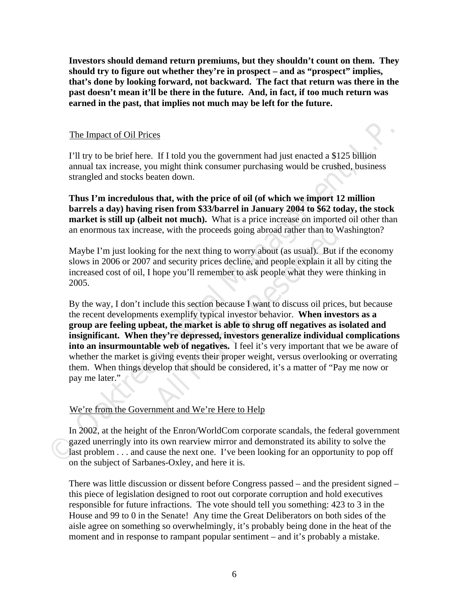**Investors should demand return premiums, but they shouldn't count on them. They should try to figure out whether they're in prospect – and as "prospect" implies, that's done by looking forward, not backward. The fact that return was there in the past doesn't mean it'll be there in the future. And, in fact, if too much return was earned in the past, that implies not much may be left for the future.** 

## The Impact of Oil Prices

I'll try to be brief here. If I told you the government had just enacted a \$125 billion annual tax increase, you might think consumer purchasing would be crushed, business strangled and stocks beaten down.

**Thus I'm incredulous that, with the price of oil (of which we import 12 million barrels a day) having risen from \$33/barrel in January 2004 to \$62 today, the stock market is still up (albeit not much).** What is a price increase on imported oil other than an enormous tax increase, with the proceeds going abroad rather than to Washington?

Maybe I'm just looking for the next thing to worry about (as usual). But if the economy slows in 2006 or 2007 and security prices decline, and people explain it all by citing the increased cost of oil, I hope you'll remember to ask people what they were thinking in 2005.

The Impact of Oil Prices<br>
TII try to be brief here. If 1 told you the government had just enacted a \$125 billion<br>
annual tax increase, you might think consumer purchasing would be crushed, business<br>
strangled and stocks b **All Rights Reserved** Summer to a Workington and Workington and Workington and Summer than to Wish and security prices decline, and people explain it all hope you'll remember to ask people what they were lude this section By the way, I don't include this section because I want to discuss oil prices, but because the recent developments exemplify typical investor behavior. **When investors as a group are feeling upbeat, the market is able to shrug off negatives as isolated and insignificant. When they're depressed, investors generalize individual complications into an insurmountable web of negatives.** I feel it's very important that we be aware of whether the market is giving events their proper weight, versus overlooking or overrating them. When things develop that should be considered, it's a matter of "Pay me now or pay me later."

# We're from the Government and We're Here to Help

In 2002, at the height of the Enron/WorldCom corporate scandals, the federal government gazed unerringly into its own rearview mirror and demonstrated its ability to solve the last problem . . . and cause the next one. I've been looking for an opportunity to pop off on the subject of Sarbanes-Oxley, and here it is.

There was little discussion or dissent before Congress passed – and the president signed – this piece of legislation designed to root out corporate corruption and hold executives responsible for future infractions. The vote should tell you something: 423 to 3 in the House and 99 to 0 in the Senate! Any time the Great Deliberators on both sides of the aisle agree on something so overwhelmingly, it's probably being done in the heat of the moment and in response to rampant popular sentiment – and it's probably a mistake.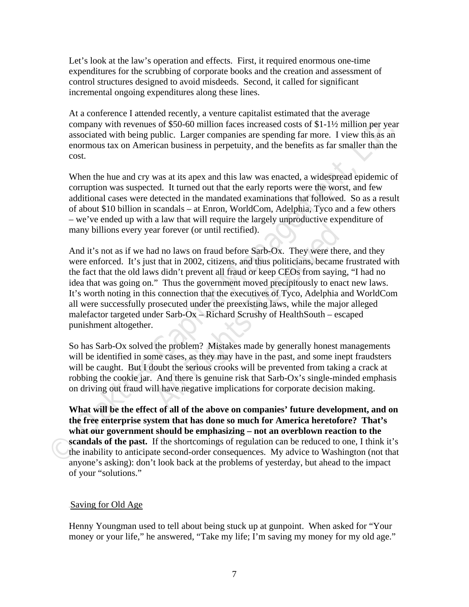Let's look at the law's operation and effects. First, it required enormous one-time expenditures for the scrubbing of corporate books and the creation and assessment of control structures designed to avoid misdeeds. Second, it called for significant incremental ongoing expenditures along these lines.

At a conference I attended recently, a venture capitalist estimated that the average company with revenues of \$50-60 million faces increased costs of \$1-1½ million per year associated with being public. Larger companies are spending far more. I view this as an enormous tax on American business in perpetuity, and the benefits as far smaller than the cost.

When the hue and cry was at its apex and this law was enacted, a widespread epidemic of corruption was suspected. It turned out that the early reports were the worst, and few additional cases were detected in the mandated examinations that followed. So as a result of about \$10 billion in scandals – at Enron, WorldCom, Adelphia, Tyco and a few others – we've ended up with a law that will require the largely unproductive expenditure of many billions every year forever (or until rectified).

company with revenues of 550-60 million faces increased costs of \$11-1/2 million per year<br>associated with being public. Larger companies are spending far more. I view this as a<br>mormous tax on American business in perpetuty at a saw that the term of the digety diplomation of the above on comparison of the divergence of that in 2002, citizens, and thus politicians, became is didn't prevent all fraud or keep CEOs from saying "Thus the governmen And it's not as if we had no laws on fraud before Sarb-Ox. They were there, and they were enforced. It's just that in 2002, citizens, and thus politicians, became frustrated with the fact that the old laws didn't prevent all fraud or keep CEOs from saying, "I had no idea that was going on." Thus the government moved precipitously to enact new laws. It's worth noting in this connection that the executives of Tyco, Adelphia and WorldCom all were successfully prosecuted under the preexisting laws, while the major alleged malefactor targeted under Sarb-Ox – Richard Scrushy of HealthSouth – escaped punishment altogether.

So has Sarb-Ox solved the problem? Mistakes made by generally honest managements will be identified in some cases, as they may have in the past, and some inept fraudsters will be caught. But I doubt the serious crooks will be prevented from taking a crack at robbing the cookie jar. And there is genuine risk that Sarb-Ox's single-minded emphasis on driving out fraud will have negative implications for corporate decision making.

**What will be the effect of all of the above on companies' future development, and on the free enterprise system that has done so much for America heretofore? That's what our government should be emphasizing – not an overblown reaction to the scandals of the past.** If the shortcomings of regulation can be reduced to one, I think it's the inability to anticipate second-order consequences. My advice to Washington (not that anyone's asking): don't look back at the problems of yesterday, but ahead to the impact of your "solutions."

## Saving for Old Age

Henny Youngman used to tell about being stuck up at gunpoint. When asked for "Your money or your life," he answered, "Take my life; I'm saving my money for my old age."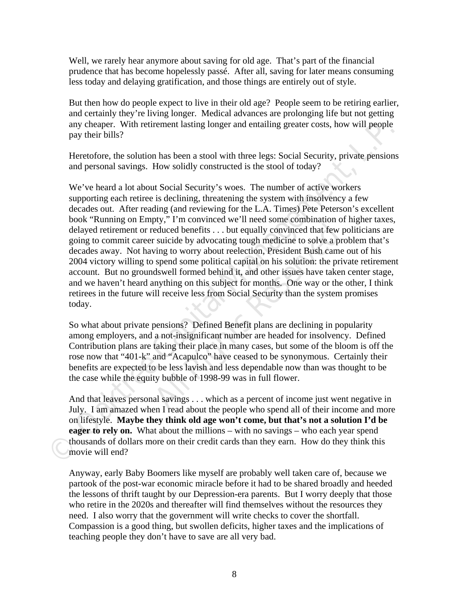Well, we rarely hear anymore about saving for old age. That's part of the financial prudence that has become hopelessly passé. After all, saving for later means consuming less today and delaying gratification, and those things are entirely out of style.

But then how do people expect to live in their old age? People seem to be retiring earlier, and certainly they're living longer. Medical advances are prolonging life but not getting any cheaper. With retirement lasting longer and entailing greater costs, how will people pay their bills?

Heretofore, the solution has been a stool with three legs: Social Security, private pensions and personal savings. How solidly constructed is the stool of today?

any cheaper. With retirement lasting longer and entailing greater costs, how will people<br>pay their bills?<br>Heretofore, the solution has been a stool with three legs: Social Security, private pensions<br>and personal savings. H **All Rights All Righters** we are interesting to the result of their incomes peduced benefits . . . but equally convinced that few p suicide by advocating tough medicine to solve a proving to worry about reelection, Preside We've heard a lot about Social Security's woes. The number of active workers supporting each retiree is declining, threatening the system with insolvency a few decades out. After reading (and reviewing for the L.A. Times) Pete Peterson's excellent book "Running on Empty," I'm convinced we'll need some combination of higher taxes, delayed retirement or reduced benefits . . . but equally convinced that few politicians are going to commit career suicide by advocating tough medicine to solve a problem that's decades away. Not having to worry about reelection, President Bush came out of his 2004 victory willing to spend some political capital on his solution: the private retirement account. But no groundswell formed behind it, and other issues have taken center stage, and we haven't heard anything on this subject for months. One way or the other, I think retirees in the future will receive less from Social Security than the system promises today.

So what about private pensions? Defined Benefit plans are declining in popularity among employers, and a not-insignificant number are headed for insolvency. Defined Contribution plans are taking their place in many cases, but some of the bloom is off the rose now that "401-k" and "Acapulco" have ceased to be synonymous. Certainly their benefits are expected to be less lavish and less dependable now than was thought to be the case while the equity bubble of 1998-99 was in full flower.

And that leaves personal savings . . . which as a percent of income just went negative in July. I am amazed when I read about the people who spend all of their income and more on lifestyle. **Maybe they think old age won't come, but that's not a solution I'd be eager to rely on.** What about the millions – with no savings – who each year spend thousands of dollars more on their credit cards than they earn. How do they think this movie will end?

Anyway, early Baby Boomers like myself are probably well taken care of, because we partook of the post-war economic miracle before it had to be shared broadly and heeded the lessons of thrift taught by our Depression-era parents. But I worry deeply that those who retire in the 2020s and thereafter will find themselves without the resources they need. I also worry that the government will write checks to cover the shortfall. Compassion is a good thing, but swollen deficits, higher taxes and the implications of teaching people they don't have to save are all very bad.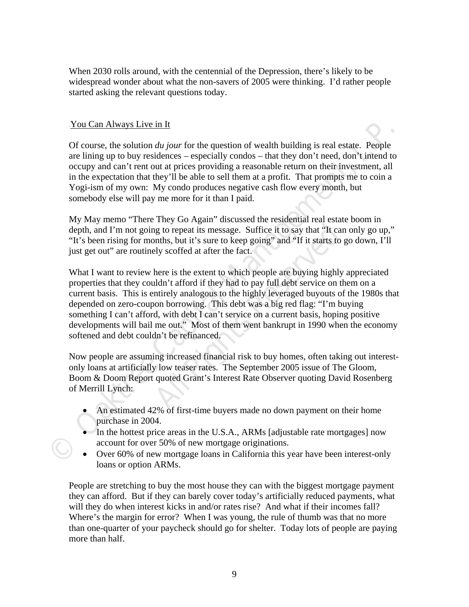When 2030 rolls around, with the centennial of the Depression, there's likely to be widespread wonder about what the non-savers of 2005 were thinking. I'd rather people started asking the relevant questions today.

# You Can Always Live in It

Of course, the solution *du jour* for the question of wealth building is real estate. People are lining up to buy residences – especially condos – that they don't need, don't intend to occupy and can't rent out at prices providing a reasonable return on their investment, all in the expectation that they'll be able to sell them at a profit. That prompts me to coin a Yogi-ism of my own: My condo produces negative cash flow every month, but somebody else will pay me more for it than I paid.

My May memo "There They Go Again" discussed the residential real estate boom in depth, and I'm not going to repeat its message. Suffice it to say that "It can only go up," "It's been rising for months, but it's sure to keep going" and "If it starts to go down, I'll just get out" are routinely scoffed at after the fact.

**You Can Always Live in It**<br>
Of course, the solution *du jour* for the question of wealth building is real estate. People<br>
are lining up to by residences – especially condos – that they don't need, don't intend to<br>
occupy They doesn't also assume that the base of the say that "It can<br>ag to repeat its message. Suffice it to say that "It can<br>anths, but it's sure to keep going" and "If it starts to g<br>ely scoffed at after the fact.<br>here is the What I want to review here is the extent to which people are buying highly appreciated properties that they couldn't afford if they had to pay full debt service on them on a current basis. This is entirely analogous to the highly leveraged buyouts of the 1980s that depended on zero-coupon borrowing. This debt was a big red flag: "I'm buying something I can't afford, with debt I can't service on a current basis, hoping positive developments will bail me out." Most of them went bankrupt in 1990 when the economy softened and debt couldn't be refinanced.

Now people are assuming increased financial risk to buy homes, often taking out interestonly loans at artificially low teaser rates. The September 2005 issue of The Gloom, Boom & Doom Report quoted Grant's Interest Rate Observer quoting David Rosenberg of Merrill Lynch:

- An estimated 42% of first-time buyers made no down payment on their home purchase in 2004.
- In the hottest price areas in the U.S.A., ARMs [adjustable rate mortgages] now account for over 50% of new mortgage originations.
- Over 60% of new mortgage loans in California this year have been interest-only loans or option ARMs.

People are stretching to buy the most house they can with the biggest mortgage payment they can afford. But if they can barely cover today's artificially reduced payments, what will they do when interest kicks in and/or rates rise? And what if their incomes fall? Where's the margin for error? When I was young, the rule of thumb was that no more than one-quarter of your paycheck should go for shelter. Today lots of people are paying more than half.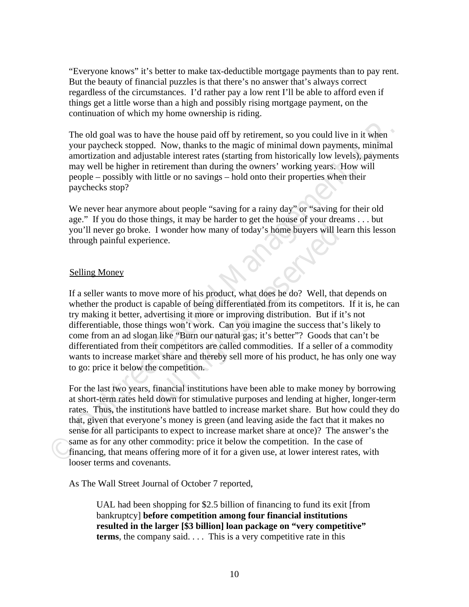"Everyone knows" it's better to make tax-deductible mortgage payments than to pay rent. But the beauty of financial puzzles is that there's no answer that's always correct regardless of the circumstances. I'd rather pay a low rent I'll be able to afford even if things get a little worse than a high and possibly rising mortgage payment, on the continuation of which my home ownership is riding.

The old goal was to have the house paid off by retirement, so you could live in it when your paycheck stopped. Now, thanks to the magic of minimal down payments, minimal amortization and adjustable interest rates (starting from historically low levels), payments may well be higher in retirement than during the owners' working years. How will people – possibly with little or no savings – hold onto their properties when their paychecks stop?

We never hear anymore about people "saving for a rainy day" or "saving for their old age." If you do those things, it may be harder to get the house of your dreams . . . but you'll never go broke. I wonder how many of today's home buyers will learn this lesson through painful experience.

#### Selling Money

The old goal was to have the house paid off by retirement, so you could live in it when<br>your paycheck stopped. Now, thanks to the magic of minimal down payments, minimal<br>amortization and adjustable interest rates (starting *All worder how many of today's home buyers will leads* is a liven in two many of today's home buyers will leads.<br> **All Rights Reserved All Rights Reserved** and the capable of being differentiated from its competitors.<br>
Ne If a seller wants to move more of his product, what does he do? Well, that depends on whether the product is capable of being differentiated from its competitors. If it is, he can try making it better, advertising it more or improving distribution. But if it's not differentiable, those things won't work. Can you imagine the success that's likely to come from an ad slogan like "Burn our natural gas; it's better"? Goods that can't be differentiated from their competitors are called commodities. If a seller of a commodity wants to increase market share and thereby sell more of his product, he has only one way to go: price it below the competition.

For the last two years, financial institutions have been able to make money by borrowing at short-term rates held down for stimulative purposes and lending at higher, longer-term rates. Thus, the institutions have battled to increase market share. But how could they do that, given that everyone's money is green (and leaving aside the fact that it makes no sense for all participants to expect to increase market share at once)? The answer's the same as for any other commodity: price it below the competition. In the case of financing, that means offering more of it for a given use, at lower interest rates, with looser terms and covenants.

As The Wall Street Journal of October 7 reported,

UAL had been shopping for \$2.5 billion of financing to fund its exit [from bankruptcy] **before competition among four financial institutions resulted in the larger [\$3 billion] loan package on "very competitive" terms**, the company said. . . . This is a very competitive rate in this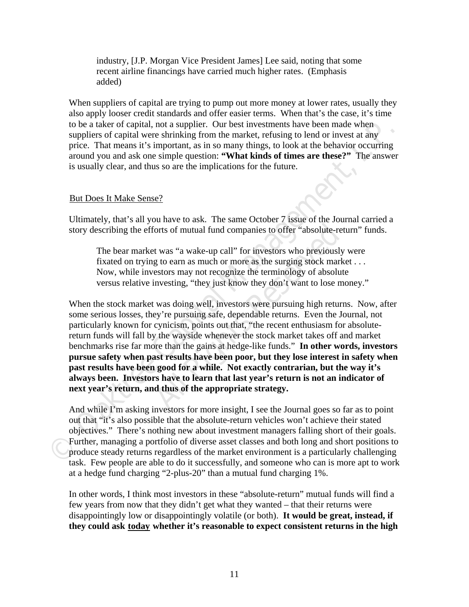industry, [J.P. Morgan Vice President James] Lee said, noting that some recent airline financings have carried much higher rates. (Emphasis added)

When suppliers of capital are trying to pump out more money at lower rates, usually they also apply looser credit standards and offer easier terms. When that's the case, it's time to be a taker of capital, not a supplier. Our best investments have been made when suppliers of capital were shrinking from the market, refusing to lend or invest at any price. That means it's important, as in so many things, to look at the behavior occurring around you and ask one simple question: **"What kinds of times are these?"** The answer is usually clear, and thus so are the implications for the future.

## But Does It Make Sense?

Ultimately, that's all you have to ask. The same October 7 issue of the Journal carried a story describing the efforts of mutual fund companies to offer "absolute-return" funds.

The bear market was "a wake-up call" for investors who previously were fixated on trying to earn as much or more as the surging stock market . . . Now, while investors may not recognize the terminology of absolute versus relative investing, "they just know they don't want to lose money."

to be a taker of capital, not a supplier. Our best investments have been made when<br>suppliers of capital were shrinking from the market. refusing to lend or invest at any<br>price. That means it's important, as in so many thin be the same of the same of the school of the school of the school of the school of the school of the school of the school of the same school of the same school of the same school of the same school investing, "they just kn When the stock market was doing well, investors were pursuing high returns. Now, after some serious losses, they're pursuing safe, dependable returns. Even the Journal, not particularly known for cynicism, points out that, "the recent enthusiasm for absolutereturn funds will fall by the wayside whenever the stock market takes off and market benchmarks rise far more than the gains at hedge-like funds." **In other words, investors pursue safety when past results have been poor, but they lose interest in safety when past results have been good for a while. Not exactly contrarian, but the way it's always been. Investors have to learn that last year's return is not an indicator of next year's return, and thus of the appropriate strategy.** 

And while I'm asking investors for more insight, I see the Journal goes so far as to point out that "it's also possible that the absolute-return vehicles won't achieve their stated objectives." There's nothing new about investment managers falling short of their goals. Further, managing a portfolio of diverse asset classes and both long and short positions to produce steady returns regardless of the market environment is a particularly challenging task. Few people are able to do it successfully, and someone who can is more apt to work at a hedge fund charging "2-plus-20" than a mutual fund charging 1%.

In other words, I think most investors in these "absolute-return" mutual funds will find a few years from now that they didn't get what they wanted – that their returns were disappointingly low or disappointingly volatile (or both). **It would be great, instead, if**  they could ask today whether it's reasonable to expect consistent returns in the high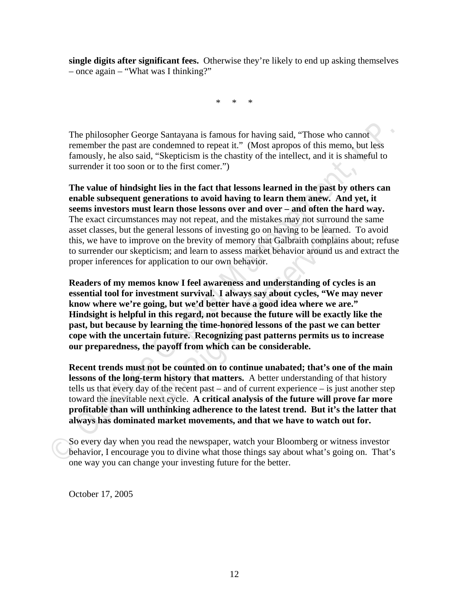**single digits after significant fees.** Otherwise they're likely to end up asking themselves – once again – "What was I thinking?"

\* \* \*

The philosopher George Santayana is famous for having said, "Those who cannot remember the past are condemned to repeat it." (Most apropos of this memo, but less famously, he also said, "Skepticism is the chastity of the intellect, and it is shameful to surrender it too soon or to the first comer.")

The philosopher George Santayana is famous for having said, "Those who cannot<br>remember the past are condemned to repeat it." (Most apropos of this memo, but less<br>famously, he also said. "Skepticism is the chastity of the i **The value of hindsight lies in the fact that lessons learned in the past by others can enable subsequent generations to avoid having to learn them anew. And yet, it seems investors must learn those lessons over and over – and often the hard way.** The exact circumstances may not repeat, and the mistakes may not surround the same asset classes, but the general lessons of investing go on having to be learned. To avoid this, we have to improve on the brevity of memory that Galbraith complains about; refuse to surrender our skepticism; and learn to assess market behavior around us and extract the proper inferences for application to our own behavior.

From the breating poon having to be learned<br>the breath lessons of investing go on having to be learned<br>e on the brevity of memory that Galbraith complain<br>cism; and learn to assess market behavior around us<br>application to o **Readers of my memos know I feel awareness and understanding of cycles is an essential tool for investment survival. I always say about cycles, "We may never know where we're going, but we'd better have a good idea where we are." Hindsight is helpful in this regard, not because the future will be exactly like the past, but because by learning the time-honored lessons of the past we can better cope with the uncertain future. Recognizing past patterns permits us to increase our preparedness, the payoff from which can be considerable.** 

**Recent trends must not be counted on to continue unabated; that's one of the main lessons of the long-term history that matters.** A better understanding of that history tells us that every day of the recent past – and of current experience – is just another step toward the inevitable next cycle. **A critical analysis of the future will prove far more profitable than will unthinking adherence to the latest trend. But it's the latter that always has dominated market movements, and that we have to watch out for.** 

So every day when you read the newspaper, watch your Bloomberg or witness investor behavior, I encourage you to divine what those things say about what's going on. That's one way you can change your investing future for the better.

October 17, 2005